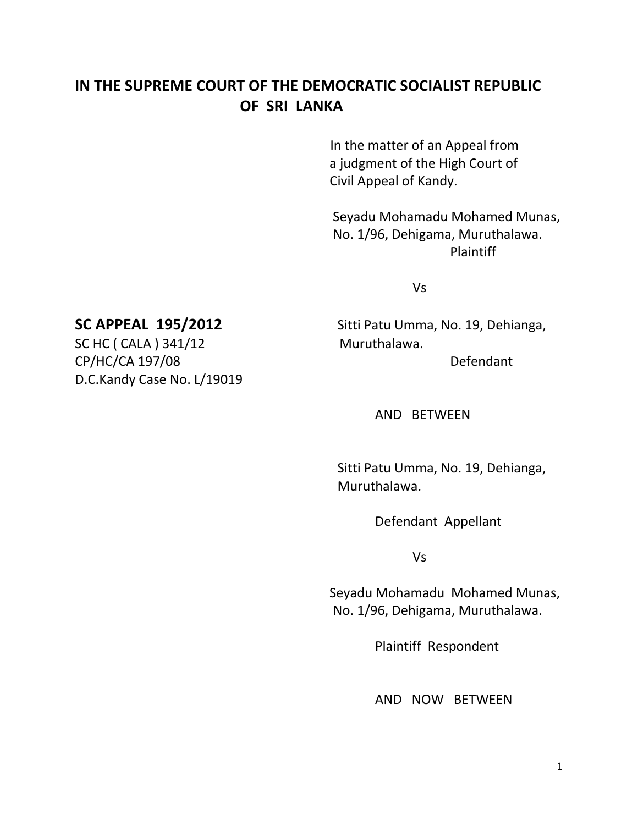## **IN THE SUPREME COURT OF THE DEMOCRATIC SOCIALIST REPUBLIC OF SRI LANKA**

In the matter of an Appeal from a judgment of the High Court of Civil Appeal of Kandy.

 Seyadu Mohamadu Mohamed Munas, No. 1/96, Dehigama, Muruthalawa. Plaintiff

Vs

# **SC APPEAL 195/2012** Sitti Patu Umma, No. 19, Dehianga,

AND BETWEEN

Sitti Patu Umma, No. 19, Dehianga, Muruthalawa.

Defendant Appellant

Vs

 Seyadu Mohamadu Mohamed Munas, No. 1/96, Dehigama, Muruthalawa.

Plaintiff Respondent

AND NOW BETWEEN

SC HC ( CALA ) 341/12 Muruthalawa. CP/HC/CA 197/08 Defendant D.C.Kandy Case No. L/19019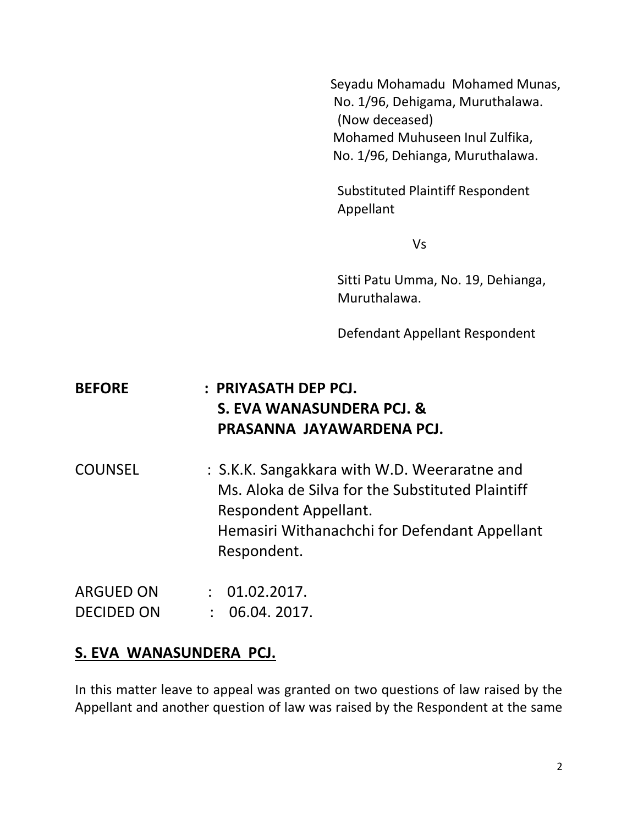Seyadu Mohamadu Mohamed Munas, No. 1/96, Dehigama, Muruthalawa. (Now deceased) Mohamed Muhuseen Inul Zulfika, No. 1/96, Dehianga, Muruthalawa.

Substituted Plaintiff Respondent Appellant

Vs

Sitti Patu Umma, No. 19, Dehianga, Muruthalawa.

Defendant Appellant Respondent

# **BEFORE : PRIYASATH DEP PCJ. S. EVA WANASUNDERA PCJ. & PRASANNA JAYAWARDENA PCJ.**

COUNSEL : S.K.K. Sangakkara with W.D. Weeraratne and Ms. Aloka de Silva for the Substituted Plaintiff Respondent Appellant. Hemasiri Withanachchi for Defendant Appellant Respondent.

| ARGUED ON         | : 01.02.2017. |
|-------------------|---------------|
| <b>DECIDED ON</b> | : 06.04.2017. |

### **S. EVA WANASUNDERA PCJ.**

In this matter leave to appeal was granted on two questions of law raised by the Appellant and another question of law was raised by the Respondent at the same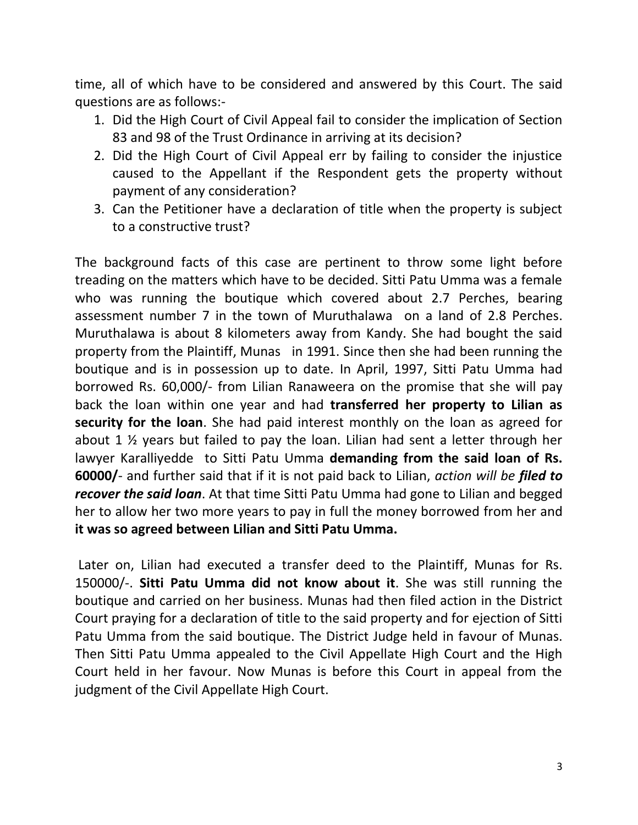time, all of which have to be considered and answered by this Court. The said questions are as follows:-

- 1. Did the High Court of Civil Appeal fail to consider the implication of Section 83 and 98 of the Trust Ordinance in arriving at its decision?
- 2. Did the High Court of Civil Appeal err by failing to consider the injustice caused to the Appellant if the Respondent gets the property without payment of any consideration?
- 3. Can the Petitioner have a declaration of title when the property is subject to a constructive trust?

The background facts of this case are pertinent to throw some light before treading on the matters which have to be decided. Sitti Patu Umma was a female who was running the boutique which covered about 2.7 Perches, bearing assessment number 7 in the town of Muruthalawa on a land of 2.8 Perches. Muruthalawa is about 8 kilometers away from Kandy. She had bought the said property from the Plaintiff, Munas in 1991. Since then she had been running the boutique and is in possession up to date. In April, 1997, Sitti Patu Umma had borrowed Rs. 60,000/- from Lilian Ranaweera on the promise that she will pay back the loan within one year and had **transferred her property to Lilian as security for the loan**. She had paid interest monthly on the loan as agreed for about 1 ½ years but failed to pay the loan. Lilian had sent a letter through her lawyer Karalliyedde to Sitti Patu Umma **demanding from the said loan of Rs. 60000/**- and further said that if it is not paid back to Lilian, *action will be filed to recover the said loan*. At that time Sitti Patu Umma had gone to Lilian and begged her to allow her two more years to pay in full the money borrowed from her and **it was so agreed between Lilian and Sitti Patu Umma.**

Later on, Lilian had executed a transfer deed to the Plaintiff, Munas for Rs. 150000/-. **Sitti Patu Umma did not know about it**. She was still running the boutique and carried on her business. Munas had then filed action in the District Court praying for a declaration of title to the said property and for ejection of Sitti Patu Umma from the said boutique. The District Judge held in favour of Munas. Then Sitti Patu Umma appealed to the Civil Appellate High Court and the High Court held in her favour. Now Munas is before this Court in appeal from the judgment of the Civil Appellate High Court.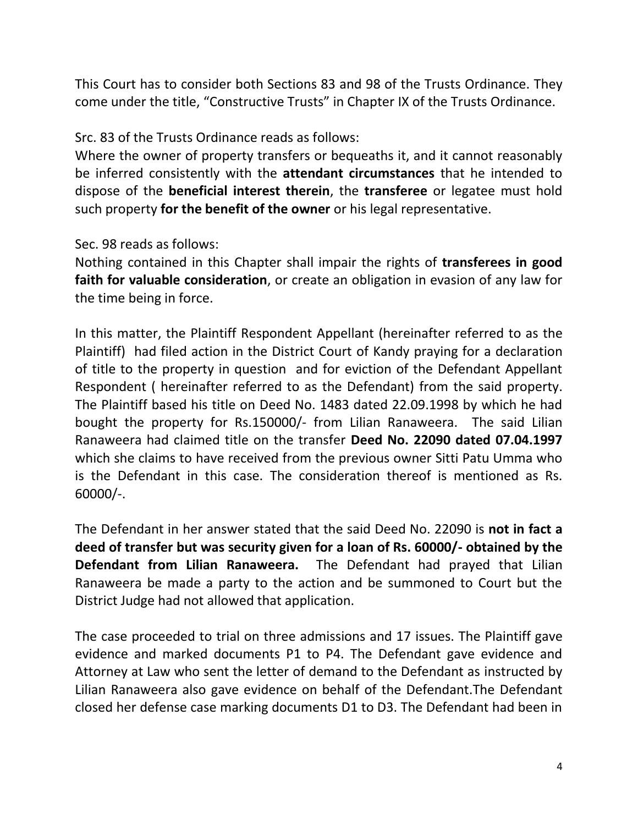This Court has to consider both Sections 83 and 98 of the Trusts Ordinance. They come under the title, "Constructive Trusts" in Chapter IX of the Trusts Ordinance.

Src. 83 of the Trusts Ordinance reads as follows:

Where the owner of property transfers or bequeaths it, and it cannot reasonably be inferred consistently with the **attendant circumstances** that he intended to dispose of the **beneficial interest therein**, the **transferee** or legatee must hold such property **for the benefit of the owner** or his legal representative.

Sec. 98 reads as follows:

Nothing contained in this Chapter shall impair the rights of **transferees in good faith for valuable consideration**, or create an obligation in evasion of any law for the time being in force.

In this matter, the Plaintiff Respondent Appellant (hereinafter referred to as the Plaintiff) had filed action in the District Court of Kandy praying for a declaration of title to the property in question and for eviction of the Defendant Appellant Respondent ( hereinafter referred to as the Defendant) from the said property. The Plaintiff based his title on Deed No. 1483 dated 22.09.1998 by which he had bought the property for Rs.150000/- from Lilian Ranaweera. The said Lilian Ranaweera had claimed title on the transfer **Deed No. 22090 dated 07.04.1997** which she claims to have received from the previous owner Sitti Patu Umma who is the Defendant in this case. The consideration thereof is mentioned as Rs. 60000/-.

The Defendant in her answer stated that the said Deed No. 22090 is **not in fact a deed of transfer but was security given for a loan of Rs. 60000/- obtained by the Defendant from Lilian Ranaweera.** The Defendant had prayed that Lilian Ranaweera be made a party to the action and be summoned to Court but the District Judge had not allowed that application.

The case proceeded to trial on three admissions and 17 issues. The Plaintiff gave evidence and marked documents P1 to P4. The Defendant gave evidence and Attorney at Law who sent the letter of demand to the Defendant as instructed by Lilian Ranaweera also gave evidence on behalf of the Defendant.The Defendant closed her defense case marking documents D1 to D3. The Defendant had been in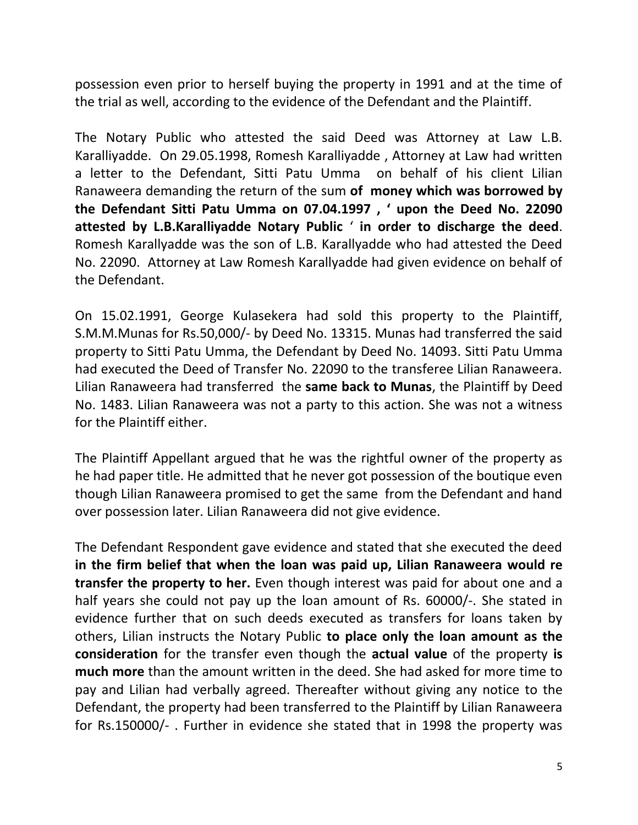possession even prior to herself buying the property in 1991 and at the time of the trial as well, according to the evidence of the Defendant and the Plaintiff.

The Notary Public who attested the said Deed was Attorney at Law L.B. Karalliyadde. On 29.05.1998, Romesh Karalliyadde , Attorney at Law had written a letter to the Defendant, Sitti Patu Umma on behalf of his client Lilian Ranaweera demanding the return of the sum **of money which was borrowed by the Defendant Sitti Patu Umma on 07.04.1997 , ' upon the Deed No. 22090 attested by L.B.Karalliyadde Notary Public** ' **in order to discharge the deed**. Romesh Karallyadde was the son of L.B. Karallyadde who had attested the Deed No. 22090. Attorney at Law Romesh Karallyadde had given evidence on behalf of the Defendant.

On 15.02.1991, George Kulasekera had sold this property to the Plaintiff, S.M.M.Munas for Rs.50,000/- by Deed No. 13315. Munas had transferred the said property to Sitti Patu Umma, the Defendant by Deed No. 14093. Sitti Patu Umma had executed the Deed of Transfer No. 22090 to the transferee Lilian Ranaweera. Lilian Ranaweera had transferred the **same back to Munas**, the Plaintiff by Deed No. 1483. Lilian Ranaweera was not a party to this action. She was not a witness for the Plaintiff either.

The Plaintiff Appellant argued that he was the rightful owner of the property as he had paper title. He admitted that he never got possession of the boutique even though Lilian Ranaweera promised to get the same from the Defendant and hand over possession later. Lilian Ranaweera did not give evidence.

The Defendant Respondent gave evidence and stated that she executed the deed **in the firm belief that when the loan was paid up, Lilian Ranaweera would re transfer the property to her.** Even though interest was paid for about one and a half years she could not pay up the loan amount of Rs. 60000/-. She stated in evidence further that on such deeds executed as transfers for loans taken by others, Lilian instructs the Notary Public **to place only the loan amount as the consideration** for the transfer even though the **actual value** of the property **is much more** than the amount written in the deed. She had asked for more time to pay and Lilian had verbally agreed. Thereafter without giving any notice to the Defendant, the property had been transferred to the Plaintiff by Lilian Ranaweera for Rs.150000/- . Further in evidence she stated that in 1998 the property was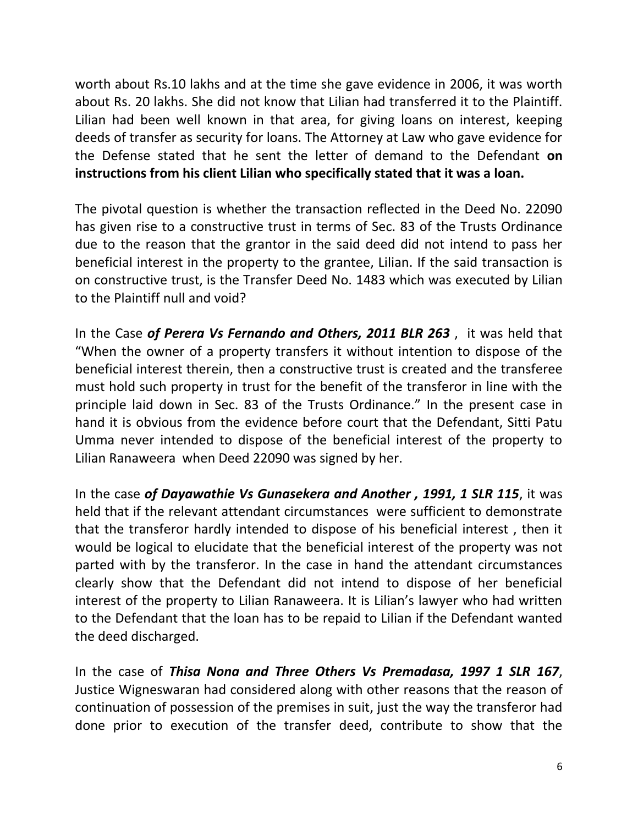worth about Rs.10 lakhs and at the time she gave evidence in 2006, it was worth about Rs. 20 lakhs. She did not know that Lilian had transferred it to the Plaintiff. Lilian had been well known in that area, for giving loans on interest, keeping deeds of transfer as security for loans. The Attorney at Law who gave evidence for the Defense stated that he sent the letter of demand to the Defendant **on instructions from his client Lilian who specifically stated that it was a loan.**

The pivotal question is whether the transaction reflected in the Deed No. 22090 has given rise to a constructive trust in terms of Sec. 83 of the Trusts Ordinance due to the reason that the grantor in the said deed did not intend to pass her beneficial interest in the property to the grantee, Lilian. If the said transaction is on constructive trust, is the Transfer Deed No. 1483 which was executed by Lilian to the Plaintiff null and void?

In the Case *of Perera Vs Fernando and Others, 2011 BLR 263* , it was held that "When the owner of a property transfers it without intention to dispose of the beneficial interest therein, then a constructive trust is created and the transferee must hold such property in trust for the benefit of the transferor in line with the principle laid down in Sec. 83 of the Trusts Ordinance." In the present case in hand it is obvious from the evidence before court that the Defendant, Sitti Patu Umma never intended to dispose of the beneficial interest of the property to Lilian Ranaweera when Deed 22090 was signed by her.

In the case *of Dayawathie Vs Gunasekera and Another , 1991, 1 SLR 115*, it was held that if the relevant attendant circumstances were sufficient to demonstrate that the transferor hardly intended to dispose of his beneficial interest , then it would be logical to elucidate that the beneficial interest of the property was not parted with by the transferor. In the case in hand the attendant circumstances clearly show that the Defendant did not intend to dispose of her beneficial interest of the property to Lilian Ranaweera. It is Lilian's lawyer who had written to the Defendant that the loan has to be repaid to Lilian if the Defendant wanted the deed discharged.

In the case of *Thisa Nona and Three Others Vs Premadasa, 1997 1 SLR 167*, Justice Wigneswaran had considered along with other reasons that the reason of continuation of possession of the premises in suit, just the way the transferor had done prior to execution of the transfer deed, contribute to show that the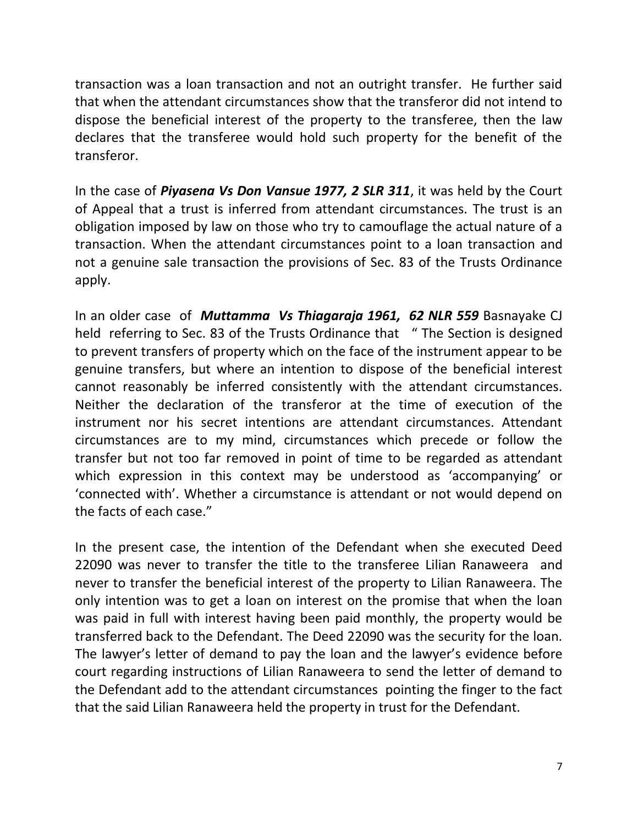transaction was a loan transaction and not an outright transfer. He further said that when the attendant circumstances show that the transferor did not intend to dispose the beneficial interest of the property to the transferee, then the law declares that the transferee would hold such property for the benefit of the transferor.

In the case of *Piyasena Vs Don Vansue 1977, 2 SLR 311*, it was held by the Court of Appeal that a trust is inferred from attendant circumstances. The trust is an obligation imposed by law on those who try to camouflage the actual nature of a transaction. When the attendant circumstances point to a loan transaction and not a genuine sale transaction the provisions of Sec. 83 of the Trusts Ordinance apply.

In an older case of *Muttamma Vs Thiagaraja 1961, 62 NLR 559* Basnayake CJ held referring to Sec. 83 of the Trusts Ordinance that " The Section is designed to prevent transfers of property which on the face of the instrument appear to be genuine transfers, but where an intention to dispose of the beneficial interest cannot reasonably be inferred consistently with the attendant circumstances. Neither the declaration of the transferor at the time of execution of the instrument nor his secret intentions are attendant circumstances. Attendant circumstances are to my mind, circumstances which precede or follow the transfer but not too far removed in point of time to be regarded as attendant which expression in this context may be understood as 'accompanying' or 'connected with'. Whether a circumstance is attendant or not would depend on the facts of each case."

In the present case, the intention of the Defendant when she executed Deed 22090 was never to transfer the title to the transferee Lilian Ranaweera and never to transfer the beneficial interest of the property to Lilian Ranaweera. The only intention was to get a loan on interest on the promise that when the loan was paid in full with interest having been paid monthly, the property would be transferred back to the Defendant. The Deed 22090 was the security for the loan. The lawyer's letter of demand to pay the loan and the lawyer's evidence before court regarding instructions of Lilian Ranaweera to send the letter of demand to the Defendant add to the attendant circumstances pointing the finger to the fact that the said Lilian Ranaweera held the property in trust for the Defendant.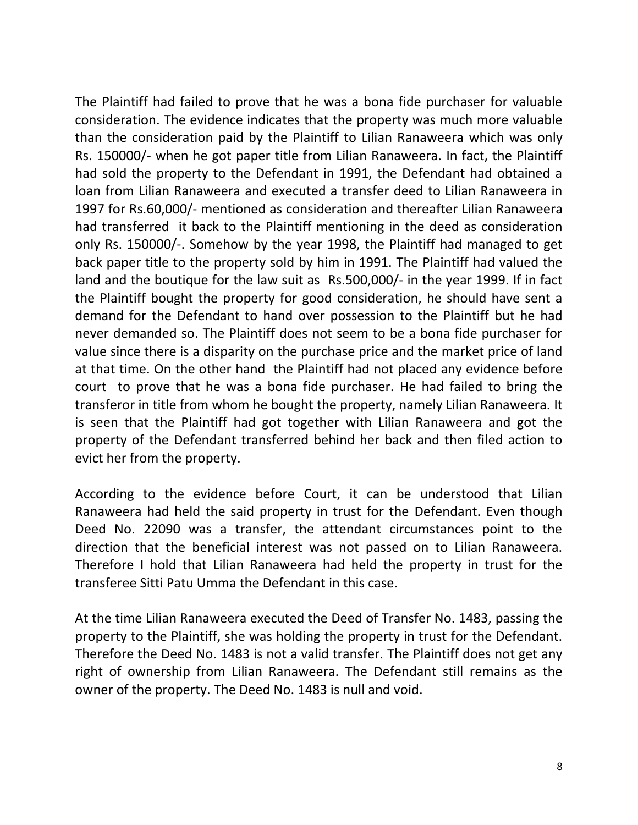The Plaintiff had failed to prove that he was a bona fide purchaser for valuable consideration. The evidence indicates that the property was much more valuable than the consideration paid by the Plaintiff to Lilian Ranaweera which was only Rs. 150000/- when he got paper title from Lilian Ranaweera. In fact, the Plaintiff had sold the property to the Defendant in 1991, the Defendant had obtained a loan from Lilian Ranaweera and executed a transfer deed to Lilian Ranaweera in 1997 for Rs.60,000/- mentioned as consideration and thereafter Lilian Ranaweera had transferred it back to the Plaintiff mentioning in the deed as consideration only Rs. 150000/-. Somehow by the year 1998, the Plaintiff had managed to get back paper title to the property sold by him in 1991. The Plaintiff had valued the land and the boutique for the law suit as Rs.500,000/- in the year 1999. If in fact the Plaintiff bought the property for good consideration, he should have sent a demand for the Defendant to hand over possession to the Plaintiff but he had never demanded so. The Plaintiff does not seem to be a bona fide purchaser for value since there is a disparity on the purchase price and the market price of land at that time. On the other hand the Plaintiff had not placed any evidence before court to prove that he was a bona fide purchaser. He had failed to bring the transferor in title from whom he bought the property, namely Lilian Ranaweera. It is seen that the Plaintiff had got together with Lilian Ranaweera and got the property of the Defendant transferred behind her back and then filed action to evict her from the property.

According to the evidence before Court, it can be understood that Lilian Ranaweera had held the said property in trust for the Defendant. Even though Deed No. 22090 was a transfer, the attendant circumstances point to the direction that the beneficial interest was not passed on to Lilian Ranaweera. Therefore I hold that Lilian Ranaweera had held the property in trust for the transferee Sitti Patu Umma the Defendant in this case.

At the time Lilian Ranaweera executed the Deed of Transfer No. 1483, passing the property to the Plaintiff, she was holding the property in trust for the Defendant. Therefore the Deed No. 1483 is not a valid transfer. The Plaintiff does not get any right of ownership from Lilian Ranaweera. The Defendant still remains as the owner of the property. The Deed No. 1483 is null and void.